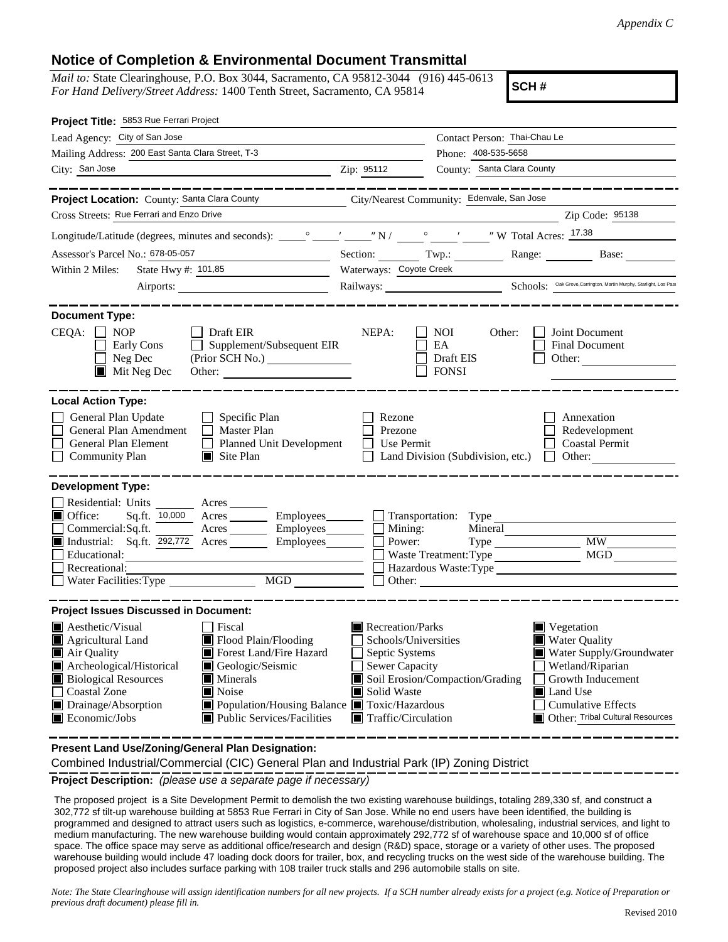## **Notice of Completion & Environmental Document Transmittal**

*Mail to:* State Clearinghouse, P.O. Box 3044, Sacramento, CA 95812-3044 (916) 445-0613 *For Hand Delivery/Street Address:* 1400 Tenth Street, Sacramento, CA 95814

**SCH #**

| Project Title: 5853 Rue Ferrari Project                                                                                                                                                                                                                                                                                                                                                                                      |                                                                                                                                                                                                                                                                                                                                                       |  |  |  |  |  |
|------------------------------------------------------------------------------------------------------------------------------------------------------------------------------------------------------------------------------------------------------------------------------------------------------------------------------------------------------------------------------------------------------------------------------|-------------------------------------------------------------------------------------------------------------------------------------------------------------------------------------------------------------------------------------------------------------------------------------------------------------------------------------------------------|--|--|--|--|--|
| Lead Agency: City of San Jose                                                                                                                                                                                                                                                                                                                                                                                                | Contact Person: Thai-Chau Le                                                                                                                                                                                                                                                                                                                          |  |  |  |  |  |
| Mailing Address: 200 East Santa Clara Street, T-3                                                                                                                                                                                                                                                                                                                                                                            | Phone: 408-535-5658                                                                                                                                                                                                                                                                                                                                   |  |  |  |  |  |
| City: San Jose                                                                                                                                                                                                                                                                                                                                                                                                               | County: Santa Clara County<br>Zip: 95112                                                                                                                                                                                                                                                                                                              |  |  |  |  |  |
|                                                                                                                                                                                                                                                                                                                                                                                                                              |                                                                                                                                                                                                                                                                                                                                                       |  |  |  |  |  |
| Project Location: County: Santa Clara County City/Nearest Community: Edenvale, San Jose                                                                                                                                                                                                                                                                                                                                      |                                                                                                                                                                                                                                                                                                                                                       |  |  |  |  |  |
| Cross Streets: Rue Ferrari and Enzo Drive<br>Zip Code: 95138                                                                                                                                                                                                                                                                                                                                                                 |                                                                                                                                                                                                                                                                                                                                                       |  |  |  |  |  |
|                                                                                                                                                                                                                                                                                                                                                                                                                              |                                                                                                                                                                                                                                                                                                                                                       |  |  |  |  |  |
| Assessor's Parcel No.: 678-05-057<br><u> 1989 - Johann Barbara, martxa al</u>                                                                                                                                                                                                                                                                                                                                                | Section: $\qquad \qquad \text{Two:}$<br>Range: Base:                                                                                                                                                                                                                                                                                                  |  |  |  |  |  |
| State Hwy #: 101,85<br>Within 2 Miles:                                                                                                                                                                                                                                                                                                                                                                                       | Waterways: Coyote Creek                                                                                                                                                                                                                                                                                                                               |  |  |  |  |  |
|                                                                                                                                                                                                                                                                                                                                                                                                                              | Railways: Schools: <sup>Oak Grove, Carrington, Martin Murphy, Starlight, Los Pass</sup>                                                                                                                                                                                                                                                               |  |  |  |  |  |
| <b>Document Type:</b><br>CEQA:<br><b>NOP</b><br>$\Box$ Draft EIR                                                                                                                                                                                                                                                                                                                                                             | NEPA:<br>Joint Document<br><b>NOI</b><br>Other:                                                                                                                                                                                                                                                                                                       |  |  |  |  |  |
| Supplement/Subsequent EIR<br>Early Cons<br>$\Box$ Neg Dec<br>$\blacksquare$ Mit Neg Dec                                                                                                                                                                                                                                                                                                                                      | EA<br><b>Final Document</b><br>Draft EIS<br>Other: $\qquad \qquad$<br><b>FONSI</b>                                                                                                                                                                                                                                                                    |  |  |  |  |  |
| <b>Local Action Type:</b>                                                                                                                                                                                                                                                                                                                                                                                                    |                                                                                                                                                                                                                                                                                                                                                       |  |  |  |  |  |
| General Plan Update<br>$\Box$ Specific Plan<br>General Plan Amendment<br>$\Box$ Master Plan<br><b>General Plan Element</b><br>Planned Unit Development<br><b>Community Plan</b><br>$\blacksquare$ Site Plan                                                                                                                                                                                                                  | Rezone<br>Annexation<br>Prezone<br>Redevelopment<br>Use Permit<br><b>Coastal Permit</b><br>Land Division (Subdivision, etc.)<br>Other:<br>$\Box$                                                                                                                                                                                                      |  |  |  |  |  |
| <b>Development Type:</b><br>Residential: Units Acres<br>$\blacksquare$ Office:<br>Commercial:Sq.ft. Acres Employees<br>Industrial: Sq.ft. 292,772 Acres Employees Employees<br>Educational:<br>Recreational:<br>MGD<br>Water Facilities: Type                                                                                                                                                                                | $Sq.ft.$ 10,000 Acres $\qquad \qquad$ Employees $\qquad \qquad$ Transportation: Type<br>Mining:<br>Mineral<br><b>MW</b><br>Power:<br><b>MGD</b><br>Waste Treatment: Type<br>Hazardous Waste:Type                                                                                                                                                      |  |  |  |  |  |
| <b>Project Issues Discussed in Document:</b>                                                                                                                                                                                                                                                                                                                                                                                 |                                                                                                                                                                                                                                                                                                                                                       |  |  |  |  |  |
| $\blacksquare$ Aesthetic/Visual<br>Fiscal<br>Flood Plain/Flooding<br>Agricultural Land<br>Forest Land/Fire Hazard<br>Air Quality<br>Archeological/Historical<br>Geologic/Seismic<br><b>Biological Resources</b><br>$\blacksquare$ Minerals<br><b>Coastal Zone</b><br>$\blacksquare$ Noise<br>Drainage/Absorption<br>Population/Housing Balance Toxic/Hazardous<br>Public Services/Facilities<br>$\blacksquare$ Economic/Jobs | Recreation/Parks<br>$\blacksquare$ Vegetation<br>Water Quality<br>Schools/Universities<br>Septic Systems<br>Water Supply/Groundwater<br>Sewer Capacity<br>Wetland/Riparian<br>Soil Erosion/Compaction/Grading<br>Growth Inducement<br>Solid Waste<br>Land Use<br><b>Cumulative Effects</b><br>Traffic/Circulation<br>Other: Tribal Cultural Resources |  |  |  |  |  |

**Present Land Use/Zoning/General Plan Designation:**

Combined Industrial/Commercial (CIC) General Plan and Industrial Park (IP) Zoning District

**Project Description:** *(please use a separate page if necessary)*

 The proposed project is a Site Development Permit to demolish the two existing warehouse buildings, totaling 289,330 sf, and construct a 302,772 sf tilt-up warehouse building at 5853 Rue Ferrari in City of San Jose. While no end users have been identified, the building is programmed and designed to attract users such as logistics, e-commerce, warehouse/distribution, wholesaling, industrial services, and light to medium manufacturing. The new warehouse building would contain approximately 292,772 sf of warehouse space and 10,000 sf of office space. The office space may serve as additional office/research and design (R&D) space, storage or a variety of other uses. The proposed warehouse building would include 47 loading dock doors for trailer, box, and recycling trucks on the west side of the warehouse building. The proposed project also includes surface parking with 108 trailer truck stalls and 296 automobile stalls on site.

*Note: The State Clearinghouse will assign identification numbers for all new projects. If a SCH number already exists for a project (e.g. Notice of Preparation or previous draft document) please fill in.*